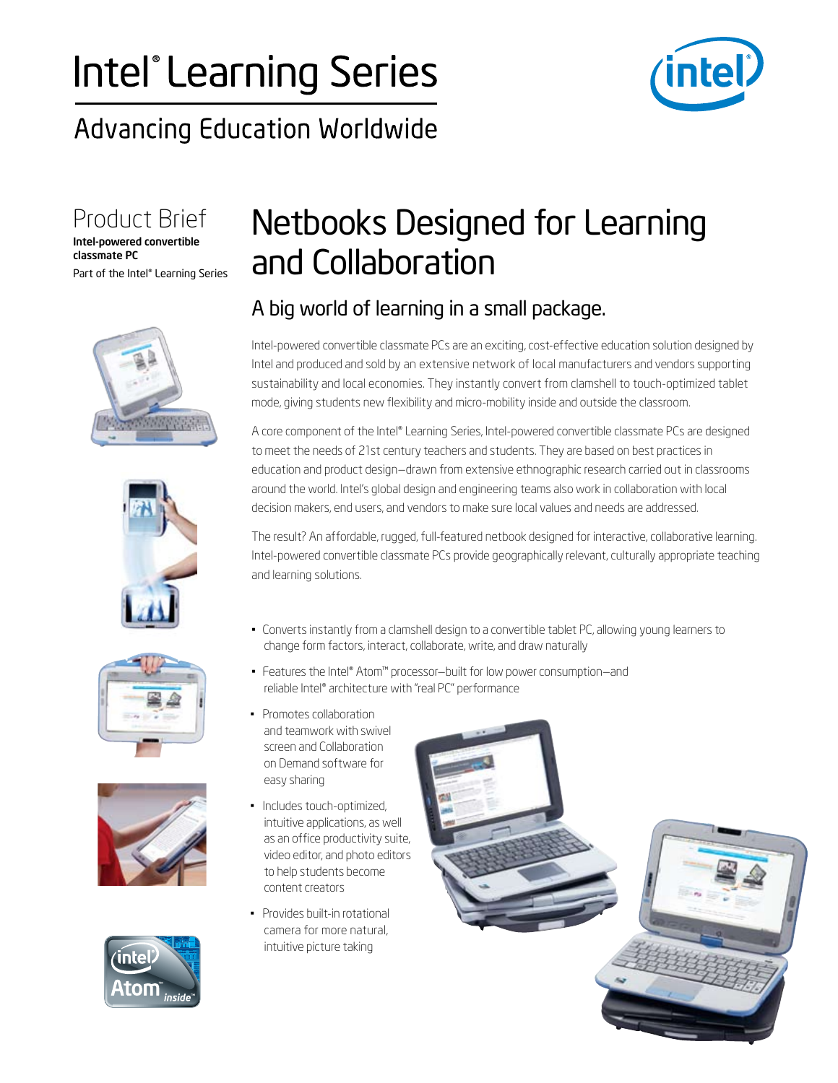# Intel® Learning Series

### **Advancing Education Worldwide**



Product Brief

Part of the Intel® Learning Series<br> Intel-powered convertible classmate PC











### Netbooks Designed for Learning and Collaboration

## *A* big world of learning in a small package.

Intel-powered convertible classmate PCs are an exciting, cost-effective education solution designed by Intel and produced and sold by an extensive network of local manufacturers and vendors supporting sustainability and local economies. They instantly convert from clamshell to touch-optimized tablet mode, giving students new flexibility and micro-mobility inside and outside the classroom.

A core component of the Intel® Learning Series, Intel-powered convertible classmate PCs are designed to meet the needs of 21st century teachers and students. They are based on best practices in education and product design—drawn from extensive ethnographic research carried out in classrooms around the world. Intel's global design and engineering teams also work in collaboration with local decision makers, end users, and vendors to make sure local values and needs are addressed.

The result? An affordable, rugged, full-featured netbook designed for interactive, collaborative learning. Intel-powered convertible classmate PCs provide geographically relevant, culturally appropriate teaching and learning solutions.

- • Converts instantly from a clamshell design to a convertible tablet PC, allowing young learners to change form factors, interact, collaborate, write, and draw naturally
- • Features the Intel® Atom™ processor—built for low power consumption—and reliable Intel® architecture with "real PC" performance
- Promotes collaboration and teamwork with swivel screen and Collaboration on Demand software for easy sharing
- • Includes touch-optimized, intuitive applications, as well as an office productivity suite, video editor, and photo editors to help students become content creators
- • Provides built-in rotational camera for more natural, intuitive picture taking

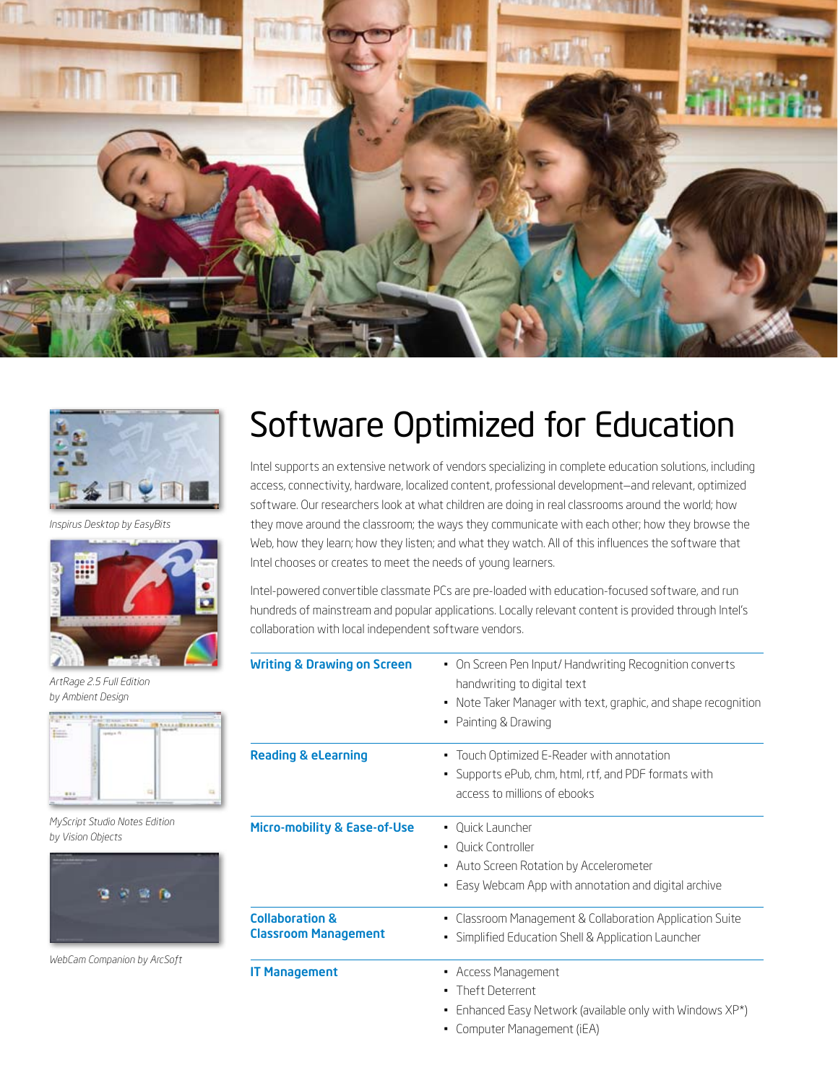



*Inspirus Desktop by EasyBits*



*ArtRage 2.5 Full Edition by Ambient Design*



*MyScript Studio Notes Edition by Vision Objects*



*WebCam Companion by ArcSoft*

### Software Optimized for Education

Intel supports an extensive network of vendors specializing in complete education solutions, including access, connectivity, hardware, localized content, professional development—and relevant, optimized software. Our researchers look at what children are doing in real classrooms around the world; how they move around the classroom; the ways they communicate with each other; how they browse the Web, how they learn; how they listen; and what they watch. All of this influences the software that Intel chooses or creates to meet the needs of young learners.

Intel-powered convertible classmate PCs are pre-loaded with education-focused software, and run hundreds of mainstream and popular applications. Locally relevant content is provided through Intel's collaboration with local independent software vendors.

| <b>Writing &amp; Drawing on Screen</b>                    | • On Screen Pen Input/Handwriting Recognition converts<br>handwriting to digital text<br>• Note Taker Manager with text, graphic, and shape recognition<br>Painting & Drawing |  |
|-----------------------------------------------------------|-------------------------------------------------------------------------------------------------------------------------------------------------------------------------------|--|
| <b>Reading &amp; eLearning</b>                            | Touch Optimized E-Reader with annotation<br>Supports ePub, chm, html, rtf, and PDF formats with<br>٠<br>access to millions of ebooks                                          |  |
| Micro-mobility & Ease-of-Use                              | • Ouick Launcher<br>• Ouick Controller<br>• Auto Screen Rotation by Accelerometer<br>Easy Webcam App with annotation and digital archive                                      |  |
| <b>Collaboration &amp;</b><br><b>Classroom Management</b> | Classroom Management & Collaboration Application Suite<br>Simplified Education Shell & Application Launcher<br>٠                                                              |  |
| <b>IT Management</b>                                      | • Access Management<br>Theft Deterrent<br>Enhanced Easy Network (available only with Windows XP*)<br>$Gamma(T \wedge T)$                                                      |  |

• Computer Management (iEA)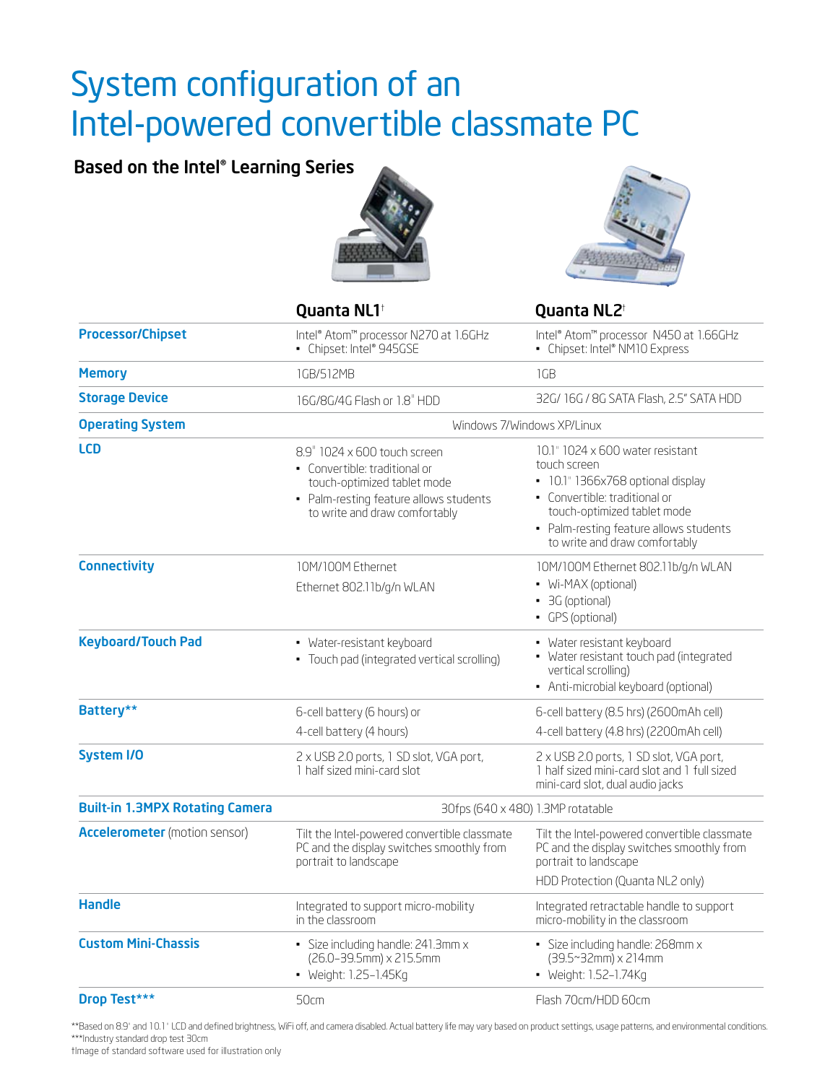### System configuration of an Intel-powered convertible classmate PC

### Based on the Intel® Learning Series





|                                        | Quanta NL1 <sup>+</sup>                                                                                                                                                 | Quanta NL2 <sup>t</sup>                                                                                                                                                                                                          |  |
|----------------------------------------|-------------------------------------------------------------------------------------------------------------------------------------------------------------------------|----------------------------------------------------------------------------------------------------------------------------------------------------------------------------------------------------------------------------------|--|
| <b>Processor/Chipset</b>               | Intel® Atom™ processor N270 at 1.6GHz<br>• Chipset: Intel® 945GSE                                                                                                       | Intel® Atom™ processor N450 at 1.66GHz<br>• Chipset: Intel® NM10 Express                                                                                                                                                         |  |
| <b>Memory</b>                          | 1GB/512MB                                                                                                                                                               | 1GB                                                                                                                                                                                                                              |  |
| <b>Storage Device</b>                  | 16G/8G/4G Flash or 1.8" HDD                                                                                                                                             | 32G/16G/8G SATA Flash, 2.5" SATA HDD                                                                                                                                                                                             |  |
| <b>Operating System</b>                | Windows 7/Windows XP/Linux                                                                                                                                              |                                                                                                                                                                                                                                  |  |
| <b>LCD</b>                             | 8.9" 1024 x 600 touch screen<br>• Convertible: traditional or<br>touch-optimized tablet mode<br>• Palm-resting feature allows students<br>to write and draw comfortably | 10.1" 1024 x 600 water resistant<br>touch screen<br>• 10.1" 1366x768 optional display<br>• Convertible: traditional or<br>touch-optimized tablet mode<br>• Palm-resting feature allows students<br>to write and draw comfortably |  |
| <b>Connectivity</b>                    | 10M/100M Ethernet<br>Ethernet 802.11b/g/n WLAN                                                                                                                          | 10M/100M Ethernet 802.11b/g/n WLAN<br>• Wi-MAX (optional)<br>• 3G (optional)<br>• GPS (optional)                                                                                                                                 |  |
| <b>Keyboard/Touch Pad</b>              | • Water-resistant keyboard<br>• Touch pad (integrated vertical scrolling)                                                                                               | • Water resistant keyboard<br>• Water resistant touch pad (integrated<br>vertical scrolling)<br>• Anti-microbial keyboard (optional)                                                                                             |  |
| Battery**                              | 6-cell battery (6 hours) or                                                                                                                                             | 6-cell battery (8.5 hrs) (2600mAh cell)                                                                                                                                                                                          |  |
|                                        | 4-cell battery (4 hours)                                                                                                                                                | 4-cell battery (4.8 hrs) (2200mAh cell)                                                                                                                                                                                          |  |
| <b>System I/O</b>                      | 2 x USB 2.0 ports, 1 SD slot, VGA port,<br>1 half sized mini-card slot                                                                                                  | 2 x USB 2.0 ports, 1 SD slot, VGA port,<br>1 half sized mini-card slot and 1 full sized<br>mini-card slot, dual audio jacks                                                                                                      |  |
| <b>Built-in 1.3MPX Rotating Camera</b> | 30fps (640 x 480) 1.3MP rotatable                                                                                                                                       |                                                                                                                                                                                                                                  |  |
| <b>Accelerometer</b> (motion sensor)   | Tilt the Intel-powered convertible classmate<br>PC and the display switches smoothly from<br>portrait to landscape                                                      | Tilt the Intel-powered convertible classmate<br>PC and the display switches smoothly from<br>portrait to landscape<br>HDD Protection (Quanta NL2 only)                                                                           |  |
| <b>Handle</b>                          | Integrated to support micro-mobility<br>in the classroom                                                                                                                | Integrated retractable handle to support<br>micro-mobility in the classroom                                                                                                                                                      |  |
| <b>Custom Mini-Chassis</b>             | · Size including handle: 241.3mm x<br>(26.0-39.5mm) x 215.5mm<br>• Weight: 1.25-1.45Kg                                                                                  | · Size including handle: 268mm x<br>(39.5~32mm) x 214mm<br>• Weight: 1.52-1.74Kg                                                                                                                                                 |  |
| Drop Test***                           | 50cm                                                                                                                                                                    | Flash 70cm/HDD 60cm                                                                                                                                                                                                              |  |

\*\*Based on 8.9" and 10.1" LCD and defined brightness, WiFi off, and camera disabled. Actual battery life may vary based on product settings, usage patterns, and environmental conditions. \*\*\*Industry standard drop test 30cm

†Image of standard software used for illustration only